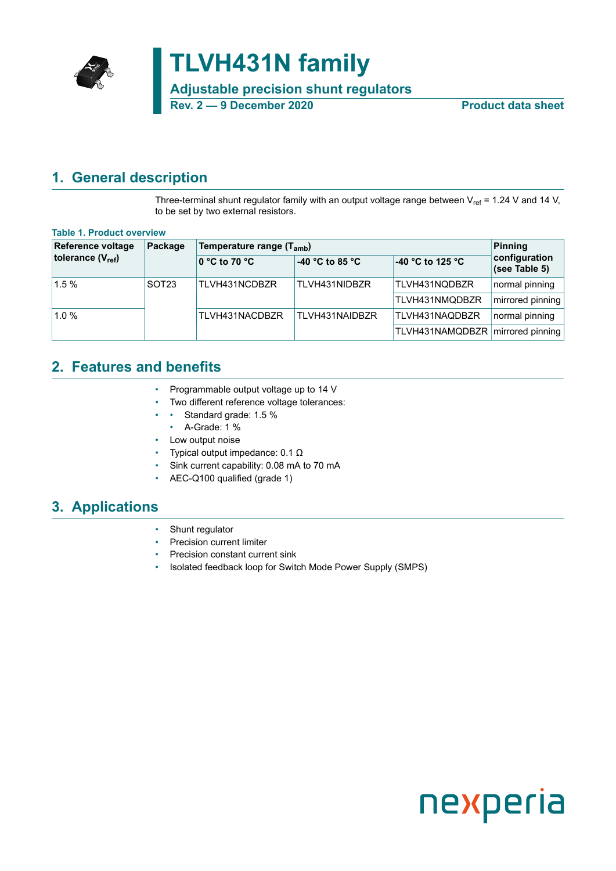

# **TLVH431N family**

**Adjustable precision shunt regulators**

**Rev. 2 — 9 December 2020 Product data sheet**

### <span id="page-0-0"></span>**1. General description**

**Table 1. Product overview**

Three-terminal shunt regulator family with an output voltage range between  $V_{ref}$  = 1.24 V and 14 V, to be set by two external resistors.

| Table T. FIOUULL OVERVIEW     |                   |                               |                 |                                    |                                |
|-------------------------------|-------------------|-------------------------------|-----------------|------------------------------------|--------------------------------|
| <b>Reference voltage</b>      | Package           | Temperature range $(T_{amb})$ | Pinning         |                                    |                                |
| tolerance (V <sub>ref</sub> ) |                   | $ 0 °C$ to 70 $°C$            | -40 °C to 85 °C | -40 °C to 125 °C                   | configuration<br>(see Table 5) |
| 1.5%                          | SOT <sub>23</sub> | TLVH431NCDBZR                 | TLVH431NIDBZR   | TLVH431NQDBZR                      | normal pinning                 |
|                               |                   |                               |                 | TLVH431NMQDBZR                     | mirrored pinning               |
| 1.0%                          |                   | TLVH431NACDBZR                | TLVH431NAIDBZR  | TLVH431NAQDBZR                     | normal pinning                 |
|                               |                   |                               |                 | TLVH431NAMQDBZR   mirrored pinning |                                |

### <span id="page-0-1"></span>**2. Features and benefits**

- Programmable output voltage up to 14 V
- Two different reference voltage tolerances:
- Standard grade: 1.5 %
- A-Grade: 1 %
- Low output noise
- Typical output impedance:  $0.1 \Omega$
- Sink current capability: 0.08 mA to 70 mA
- AEC-Q100 qualified (grade 1)

### <span id="page-0-2"></span>**3. Applications**

- Shunt regulator
- Precision current limiter
- Precision constant current sink
- Isolated feedback loop for Switch Mode Power Supply (SMPS)

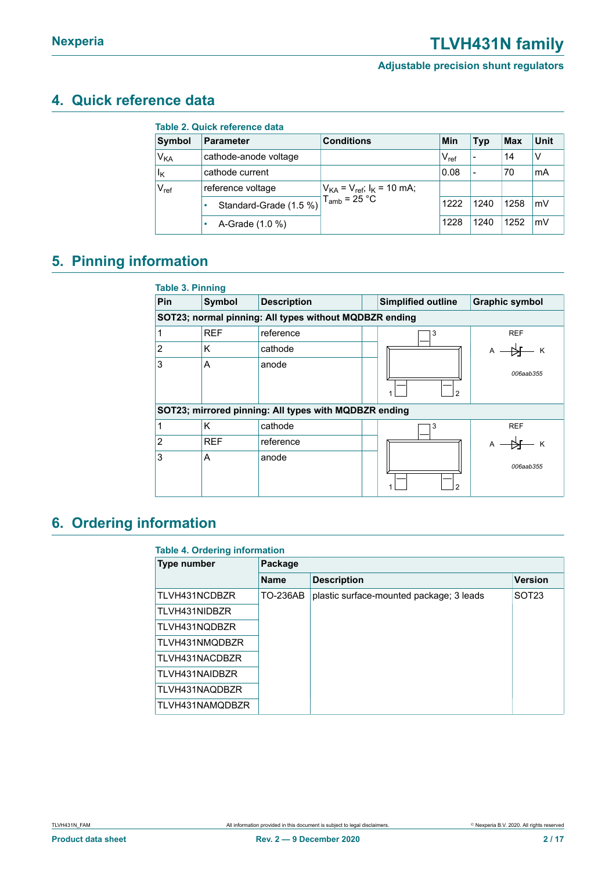## <span id="page-1-0"></span>**4. Quick reference data**

| Symbol                | <b>Parameter</b>            | <b>Conditions</b>                     | Min       | <b>Typ</b>               | <b>Max</b> | Unit |
|-----------------------|-----------------------------|---------------------------------------|-----------|--------------------------|------------|------|
| <b>V<sub>KA</sub></b> | cathode-anode voltage       |                                       | $V_{ref}$ | $\overline{\phantom{a}}$ | 14         | V    |
| Ιĸ                    | cathode current             |                                       | 0.08      | $\blacksquare$           | 70         | mA   |
| $V_{ref}$             | reference voltage           | $V_{KA} = V_{ref}$ ; $I_{K} = 10$ mA; |           |                          |            |      |
|                       | Standard-Grade (1.5 %)<br>٠ | $1T_{amb}$ = 25 °C                    | 1222      | 1240                     | 1258       | mV   |
|                       | A-Grade (1.0 %)<br>٠        |                                       | 1228      | 1240                     | 1252       | mV   |

## <span id="page-1-1"></span>**5. Pinning information**

| <b>Table 3. Pinning</b> |               |                                                        |                           |                       |
|-------------------------|---------------|--------------------------------------------------------|---------------------------|-----------------------|
| <b>Pin</b>              | <b>Symbol</b> | <b>Description</b>                                     | <b>Simplified outline</b> | <b>Graphic symbol</b> |
|                         |               | SOT23; normal pinning: All types without MQDBZR ending |                           |                       |
| 1                       | <b>REF</b>    | reference                                              | 3                         | <b>REF</b>            |
| 2                       | K             | cathode                                                |                           | K                     |
| 3                       | A             | anode                                                  |                           | 006aab355             |
|                         |               |                                                        | 2                         |                       |
|                         |               | SOT23; mirrored pinning: All types with MQDBZR ending  |                           |                       |
| 1                       | K             | cathode                                                | 3                         | <b>REF</b>            |
| 2                       | <b>REF</b>    | reference                                              |                           |                       |
| 3                       | A             | anode                                                  |                           | 006aab355             |
|                         |               |                                                        | $\mathcal{D}$             |                       |

## <span id="page-1-2"></span>**6. Ordering information**

### **Table 4. Ordering information**

| <b>Type number</b> | Package         |                                          |                   |  |  |  |
|--------------------|-----------------|------------------------------------------|-------------------|--|--|--|
|                    | <b>Name</b>     | <b>Description</b>                       | <b>Version</b>    |  |  |  |
| TLVH431NCDBZR      | <b>TO-236AB</b> | plastic surface-mounted package; 3 leads | SOT <sub>23</sub> |  |  |  |
| TLVH431NIDBZR      |                 |                                          |                   |  |  |  |
| TLVH431NQDBZR      |                 |                                          |                   |  |  |  |
| TLVH431NMQDBZR     |                 |                                          |                   |  |  |  |
| TLVH431NACDBZR     |                 |                                          |                   |  |  |  |
| TLVH431NAIDBZR     |                 |                                          |                   |  |  |  |
| TLVH431NAQDBZR     |                 |                                          |                   |  |  |  |
| TLVH431NAMQDBZR    |                 |                                          |                   |  |  |  |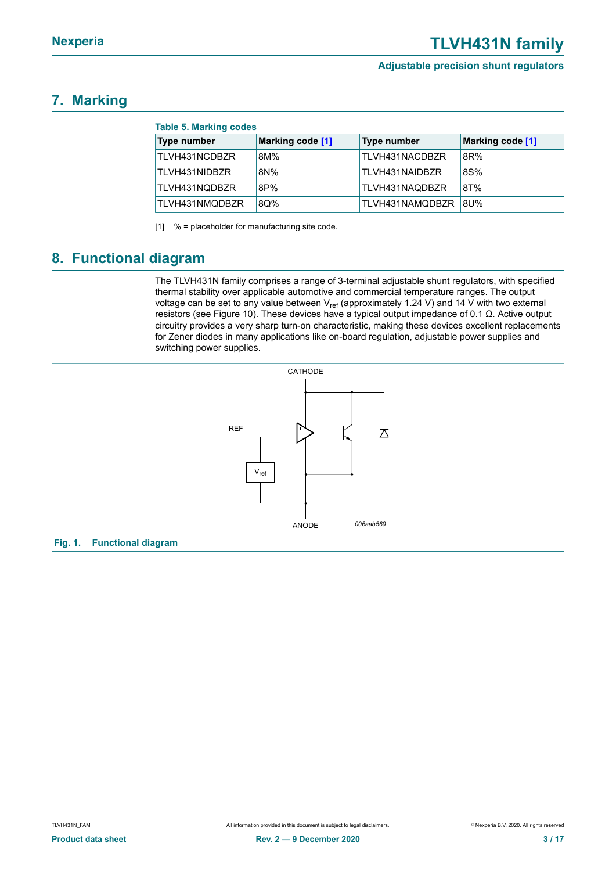### <span id="page-2-1"></span>**7. Marking**

<span id="page-2-0"></span>

| <b>Table 5. Marking codes</b> |                  |                 |                  |  |  |
|-------------------------------|------------------|-----------------|------------------|--|--|
| Type number                   | Marking code [1] | Type number     | Marking code [1] |  |  |
| TLVH431NCDBZR                 | 8M%              | TLVH431NACDBZR  | 8R%              |  |  |
| TLVH431NIDBZR                 | 8N%              | TLVH431NAIDBZR  | 8S%              |  |  |
| TLVH431NQDBZR                 | 8P%              | TLVH431NAQDBZR  | 8T%              |  |  |
| TLVH431NMQDBZR                | 8Q%              | TLVH431NAMQDBZR | 8U%              |  |  |

[1] % = placeholder for manufacturing site code.

### <span id="page-2-2"></span>**8. Functional diagram**

The TLVH431N family comprises a range of 3-terminal adjustable shunt regulators, with specified thermal stability over applicable automotive and commercial temperature ranges. The output voltage can be set to any value between  $V_{ref}$  (approximately 1.24 V) and 14 V with two external resistors (see Figure 10). These devices have a typical output impedance of 0.1 Ω. Active output circuitry provides a very sharp turn-on characteristic, making these devices excellent replacements for Zener diodes in many applications like on-board regulation, adjustable power supplies and switching power supplies.

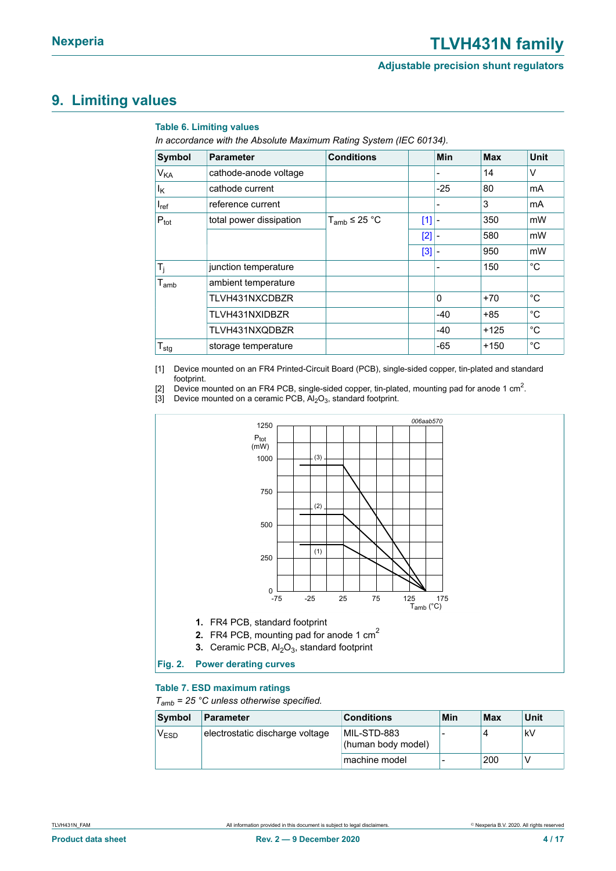### <span id="page-3-1"></span>**9. Limiting values**

#### <span id="page-3-0"></span>**Table 6. Limiting values**

*In accordance with the Absolute Maximum Rating System (IEC 60134).*

| <b>Symbol</b>    | <b>Parameter</b>        | <b>Conditions</b> |                   | Min      | <b>Max</b> | Unit |
|------------------|-------------------------|-------------------|-------------------|----------|------------|------|
| $V_{KA}$         | cathode-anode voltage   |                   |                   |          | 14         | v    |
| Ιĸ               | cathode current         |                   |                   | $-25$    | 80         | mA   |
| I <sub>ref</sub> | reference current       |                   |                   |          | 3          | mA   |
| $P_{\text{tot}}$ | total power dissipation | $T_{amb}$ ≤ 25 °C | [1]               |          | 350        | mW   |
|                  |                         |                   | [2]               |          | 580        | mW   |
|                  |                         |                   | $\lceil 3 \rceil$ |          | 950        | mW   |
| $T_i$            | junction temperature    |                   |                   |          | 150        | °C   |
| $T_{amb}$        | ambient temperature     |                   |                   |          |            |      |
|                  | TLVH431NXCDBZR          |                   |                   | $\Omega$ | +70        | °C   |
|                  | TLVH431NXIDBZR          |                   |                   | $-40$    | $+85$      | °C   |
|                  | TLVH431NXQDBZR          |                   |                   | $-40$    | $+125$     | °C   |
| $T_{\text{stg}}$ | storage temperature     |                   |                   | $-65$    | +150       | °C   |

[1] Device mounted on an FR4 Printed-Circuit Board (PCB), single-sided copper, tin-plated and standard footprint.

[2] Device mounted on an FR4 PCB, single-sided copper, tin-plated, mounting pad for anode 1 cm<sup>2</sup>.

[3] Device mounted on a ceramic PCB,  $Al_2O_3$ , standard footprint.



### **Table 7. ESD maximum ratings**

*Tamb = 25 °C unless otherwise specified.*

| Symbol                      | Parameter                       | <b>Conditions</b>                 | Min | Max | Unit |
|-----------------------------|---------------------------------|-----------------------------------|-----|-----|------|
| $\mathsf{V}_{\mathsf{ESD}}$ | electrostatic discharge voltage | MIL-STD-883<br>(human body model) |     |     | kV   |
|                             |                                 | ∣machine model                    |     | 200 |      |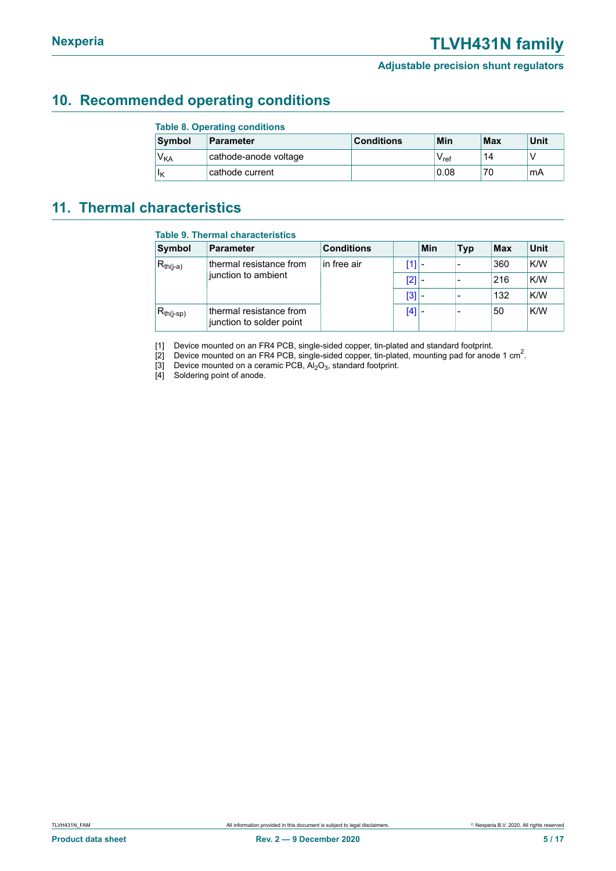### <span id="page-4-1"></span>**10. Recommended operating conditions**

#### <span id="page-4-0"></span>**Table 8. Operating conditions**

| <b>Symbol</b> | <b>Parameter</b>      | <b>Conditions</b> | Min              | Max | Unit |
|---------------|-----------------------|-------------------|------------------|-----|------|
| Ѵҝѧ           | cathode-anode voltage |                   | V <sub>ref</sub> | 14  |      |
| Ιĸ            | cathode current       |                   | 0.08             |     | mA   |

### <span id="page-4-2"></span>**11. Thermal characteristics**

| Symbol                                                          | <b>Parameter</b>                                    | <b>Conditions</b> |       | Min | <b>Typ</b> | Max | Unit |
|-----------------------------------------------------------------|-----------------------------------------------------|-------------------|-------|-----|------------|-----|------|
| thermal resistance from<br>$R_{th(i-a)}$<br>junction to ambient | in free air                                         | $[1]$ -           |       |     | 360        | K/W |      |
|                                                                 |                                                     | $[2]$ -           |       | -   | 216        | K/W |      |
|                                                                 |                                                     | [3] -             |       |     | 132        | K/W |      |
| $R_{th(j-sp)}$                                                  | thermal resistance from<br>junction to solder point |                   | [4] - |     | -          | 50  | K/W  |

[1] Device mounted on an FR4 PCB, single-sided copper, tin-plated and standard footprint.

[2] Device mounted on an FR4 PCB, single-sided copper, tin-plated, mounting pad for anode 1 cm<sup>2</sup>.

[3] Device mounted on a ceramic PCB,  $Al_2O_3$ , standard footprint.

[4] Soldering point of anode.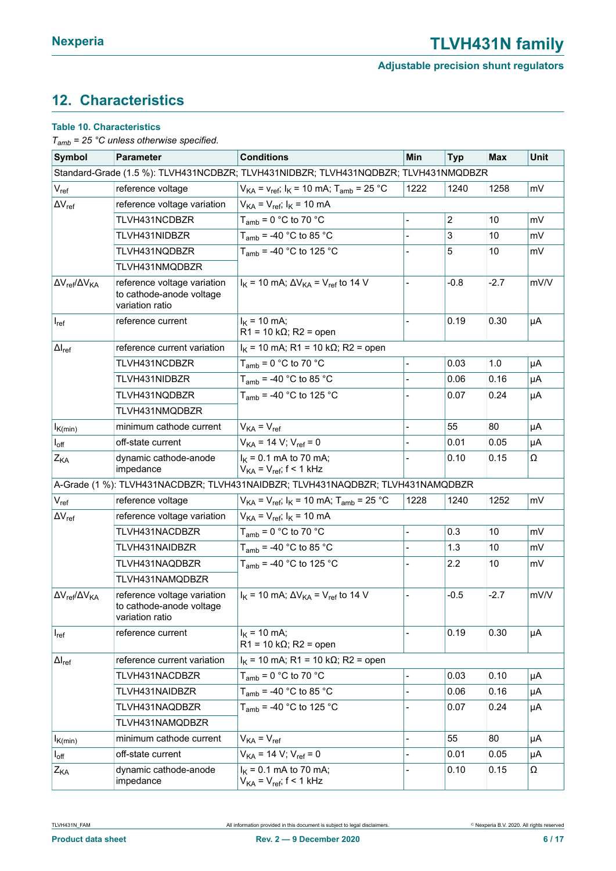### <span id="page-5-0"></span>**12. Characteristics**

#### **Table 10. Characteristics**

#### *Tamb = 25 °C unless otherwise specified.*

| Symbol                         | <b>Parameter</b>                                                           | <b>Conditions</b>                                                                   | Min  | <b>Typ</b> | <b>Max</b> | Unit |
|--------------------------------|----------------------------------------------------------------------------|-------------------------------------------------------------------------------------|------|------------|------------|------|
|                                |                                                                            | Standard-Grade (1.5 %): TLVH431NCDBZR; TLVH431NIDBZR; TLVH431NQDBZR; TLVH431NMQDBZR |      |            |            |      |
| $V_{ref}$                      | reference voltage                                                          | $V_{KA} = V_{ref}$ ; $I_{K} = 10$ mA; $T_{amb} = 25$ °C                             | 1222 | 1240       | 1258       | mV   |
| $\Delta V_{ref}$               | reference voltage variation                                                | $V_{KA} = V_{ref}$ ; $I_{K} = 10$ mA                                                |      |            |            |      |
|                                | TLVH431NCDBZR                                                              | $T_{amb}$ = 0 °C to 70 °C                                                           |      | 2          | 10         | mV   |
|                                | TLVH431NIDBZR                                                              | $T_{amb}$ = -40 °C to 85 °C                                                         |      | 3          | 10         | mV   |
|                                | TLVH431NQDBZR                                                              | $T_{amb}$ = -40 °C to 125 °C                                                        |      | 5          | 10         | mV   |
|                                | TLVH431NMQDBZR                                                             |                                                                                     |      |            |            |      |
| $\Delta V_{ref}/\Delta V_{KA}$ | reference voltage variation<br>to cathode-anode voltage<br>variation ratio | $I_{\rm K}$ = 10 mA; $\Delta V_{\rm KA}$ = V <sub>ref</sub> to 14 V                 |      | $-0.8$     | $-2.7$     | mV/V |
| $I_{ref}$                      | reference current                                                          | $I_{K}$ = 10 mA;<br>$R1 = 10 k\Omega$ ; R2 = open                                   |      | 0.19       | 0.30       | μA   |
| $\Delta I_{ref}$               | reference current variation                                                | $IK$ = 10 mA; R1 = 10 kΩ; R2 = open                                                 |      |            |            |      |
|                                | TLVH431NCDBZR                                                              | $T_{amb}$ = 0 °C to 70 °C                                                           |      | 0.03       | 1.0        | μA   |
|                                | TLVH431NIDBZR                                                              | $T_{amb}$ = -40 °C to 85 °C                                                         |      | 0.06       | 0.16       | μA   |
|                                | TLVH431NQDBZR                                                              | $T_{amb}$ = -40 °C to 125 °C                                                        |      | 0.07       | 0.24       | μA   |
|                                | TLVH431NMQDBZR                                                             |                                                                                     |      |            |            |      |
| $I_{K(min)}$                   | minimum cathode current                                                    | $V_{KA} = V_{ref}$                                                                  |      | 55         | 80         | μA   |
| $I_{\text{off}}$               | off-state current                                                          | $V_{KA} = 14 V; V_{ref} = 0$                                                        |      | 0.01       | 0.05       | μA   |
| $Z_{\mathsf{KA}}$              | dynamic cathode-anode<br>impedance                                         | $I_{K}$ = 0.1 mA to 70 mA;<br>$V_{KA} = V_{ref}$ ; f < 1 kHz                        |      | 0.10       | 0.15       | Ω    |
|                                |                                                                            | A-Grade (1 %): TLVH431NACDBZR; TLVH431NAIDBZR; TLVH431NAQDBZR; TLVH431NAMQDBZR      |      |            |            |      |
| $V_{ref}$                      | reference voltage                                                          | $V_{KA}$ = $V_{ref}$ ; $I_K$ = 10 mA; T <sub>amb</sub> = 25 °C                      | 1228 | 1240       | 1252       | mV   |
| $\Delta V_{ref}$               | reference voltage variation                                                | $V_{KA} = V_{ref}$ ; $I_{K} = 10$ mA                                                |      |            |            |      |
|                                | TLVH431NACDBZR                                                             | $T_{amb}$ = 0 °C to 70 °C                                                           |      | 0.3        | 10         | mV   |
|                                | TLVH431NAIDBZR                                                             | $T_{amb}$ = -40 °C to 85 °C                                                         |      | 1.3        | 10         | mV   |
|                                | TLVH431NAQDBZR                                                             | $T_{amb}$ = -40 °C to 125 °C                                                        |      | 2.2        | 10         | mV   |
|                                | TLVH431NAMQDBZR                                                            |                                                                                     |      |            |            |      |
| $\Delta V_{ref}/\Delta V_{KA}$ | reference voltage variation<br>to cathode-anode voltage<br>variation ratio | $I_K$ = 10 mA; $\Delta V_{KA}$ = $V_{ref}$ to 14 V                                  |      | $-0.5$     | $-2.7$     | mV/V |
| $I_{ref}$                      | reference current                                                          | $I_K = 10$ mA;<br>$R1 = 10 k\Omega$ ; R2 = open                                     |      | 0.19       | 0.30       | μA   |
| $\Delta I_{\text{ref}}$        | reference current variation                                                | $IK$ = 10 mA; R1 = 10 kΩ; R2 = open                                                 |      |            |            |      |
|                                | TLVH431NACDBZR                                                             | $T_{amb}$ = 0 °C to 70 °C                                                           |      | 0.03       | 0.10       | μA   |
|                                | TLVH431NAIDBZR                                                             | $T_{amb}$ = -40 °C to 85 °C                                                         |      | 0.06       | 0.16       | μA   |
|                                | TLVH431NAQDBZR                                                             | $T_{amb}$ = -40 °C to 125 °C                                                        |      | 0.07       | 0.24       | μA   |
|                                | TLVH431NAMQDBZR                                                            |                                                                                     |      |            |            |      |
| $I_{K(min)}$                   | minimum cathode current                                                    | $V_{KA} = V_{ref}$                                                                  |      | 55         | 80         | μA   |
| $I_{\mathsf{off}}$             | off-state current                                                          | $V_{KA}$ = 14 V; $V_{ref}$ = 0                                                      |      | 0.01       | 0.05       | μA   |
| $Z_{\text{KA}}$                | dynamic cathode-anode<br>impedance                                         | $I_{K}$ = 0.1 mA to 70 mA;<br>$V_{KA} = V_{ref}$ ; f < 1 kHz                        |      | 0.10       | 0.15       | Ω    |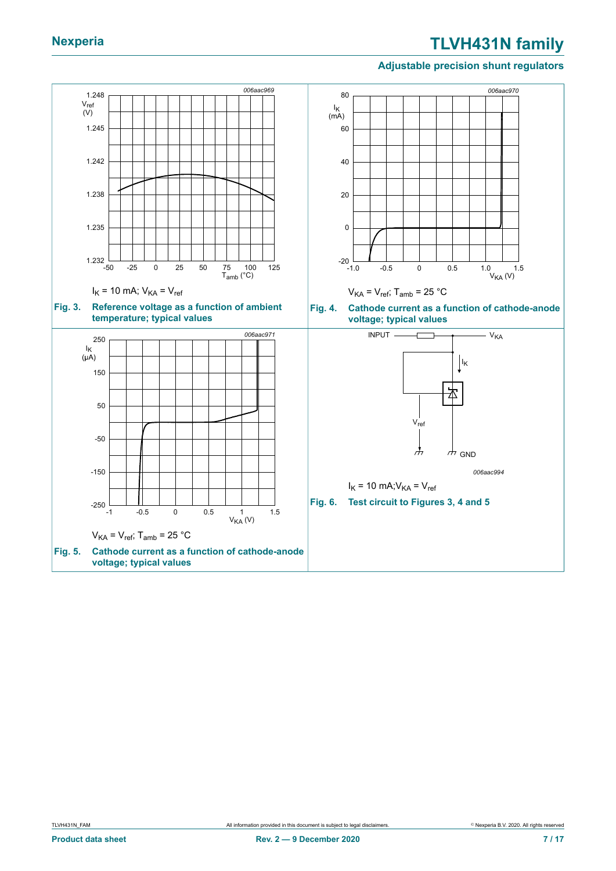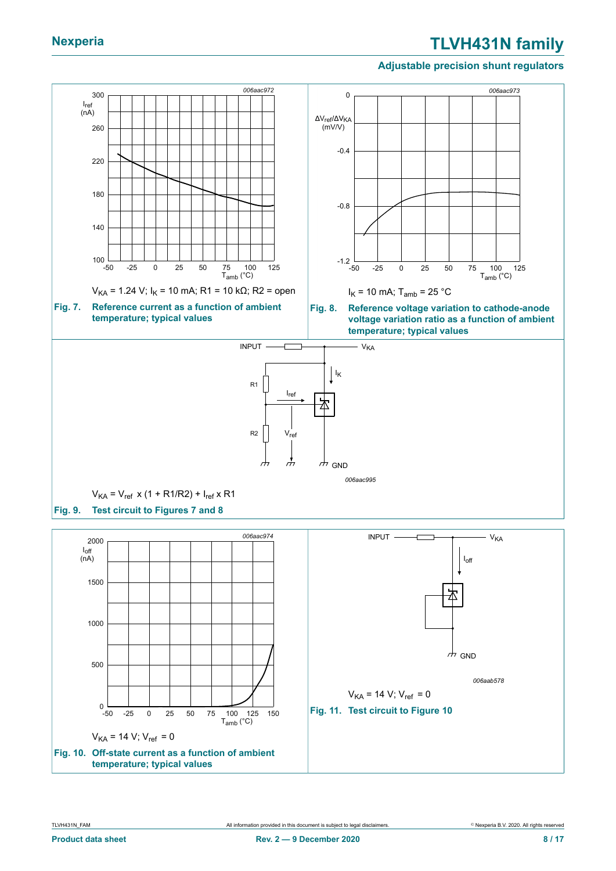### **Adjustable precision shunt regulators**



TLVH431N\_FAM All information provided in this document is subject to legal disclaimers. © Nexperia B.V. 2020. All rights reserved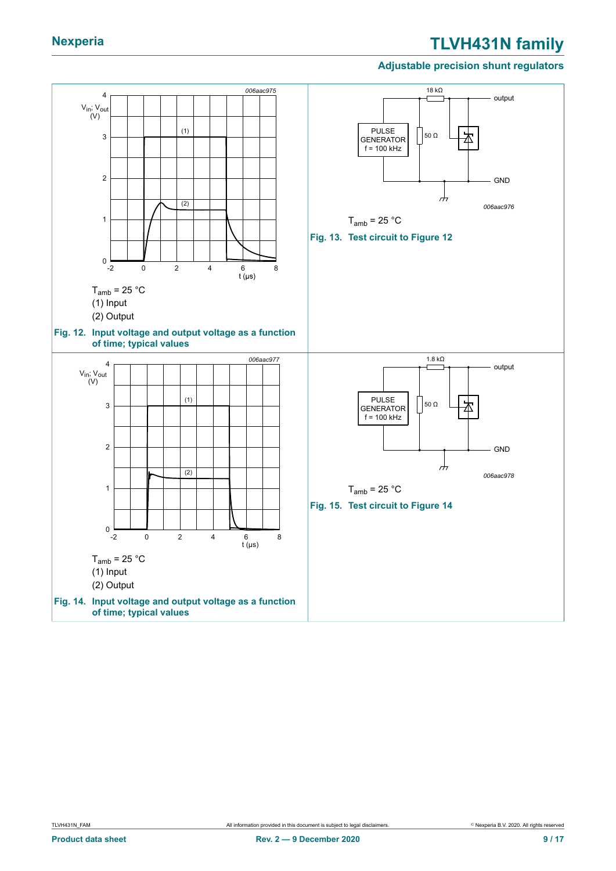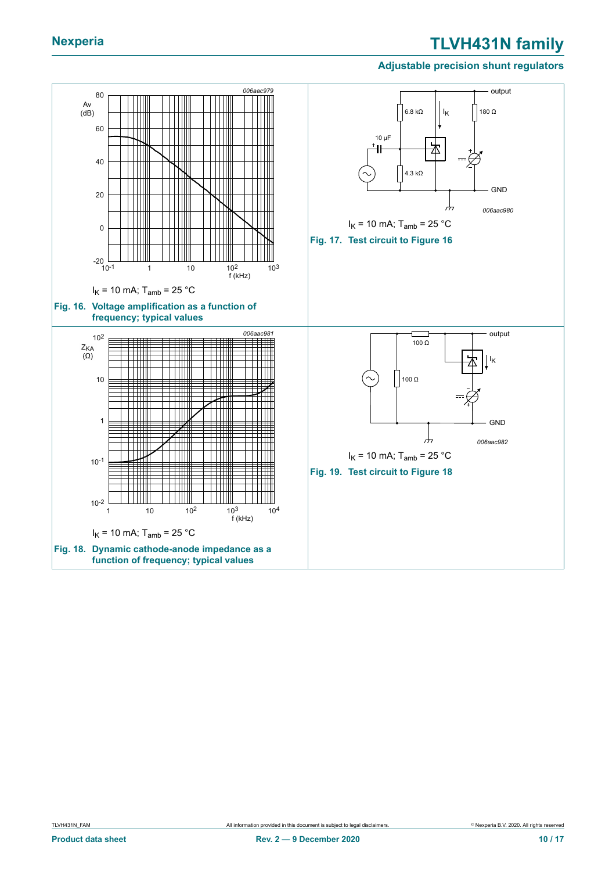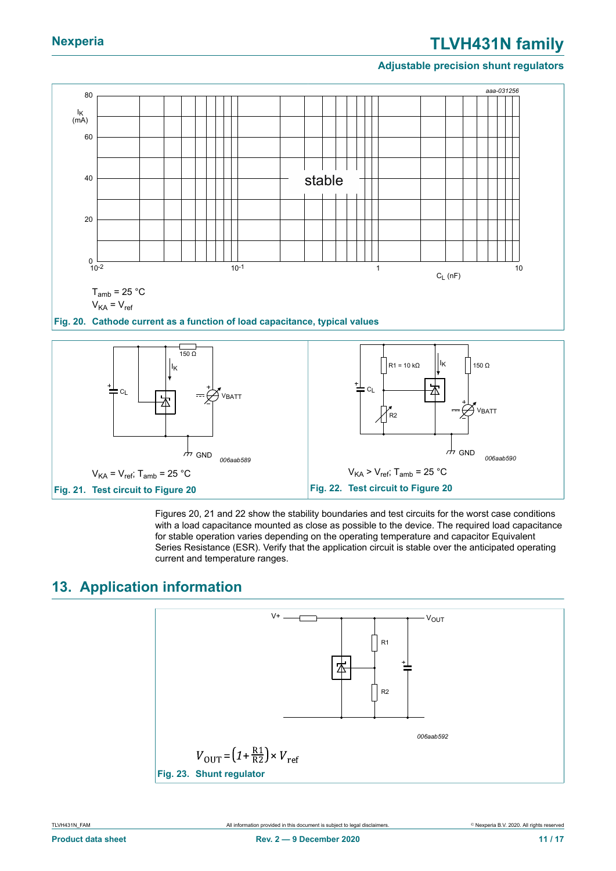### **Adjustable precision shunt regulators**





Figures 20, 21 and 22 show the stability boundaries and test circuits for the worst case conditions with a load capacitance mounted as close as possible to the device. The required load capacitance for stable operation varies depending on the operating temperature and capacitor Equivalent Series Resistance (ESR). Verify that the application circuit is stable over the anticipated operating current and temperature ranges.

### <span id="page-10-0"></span>**13. Application information**

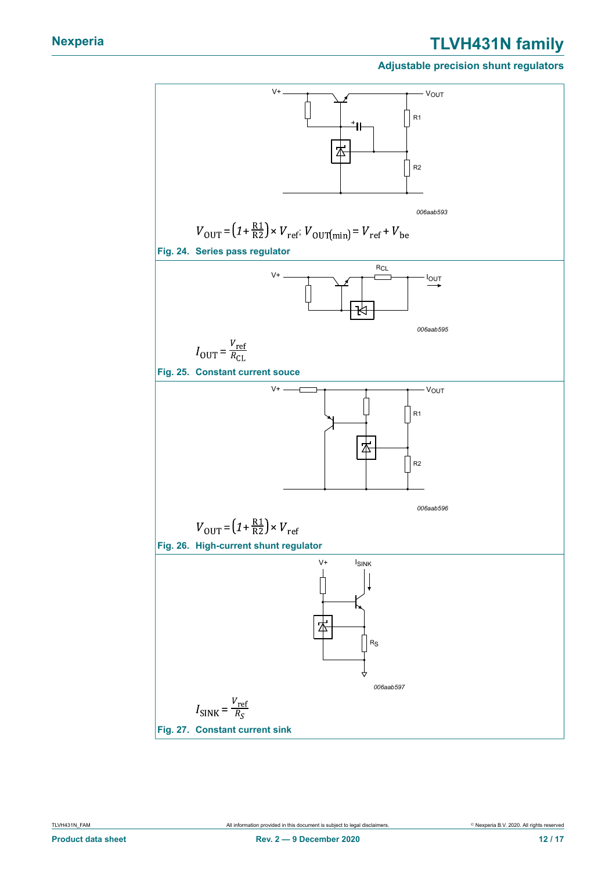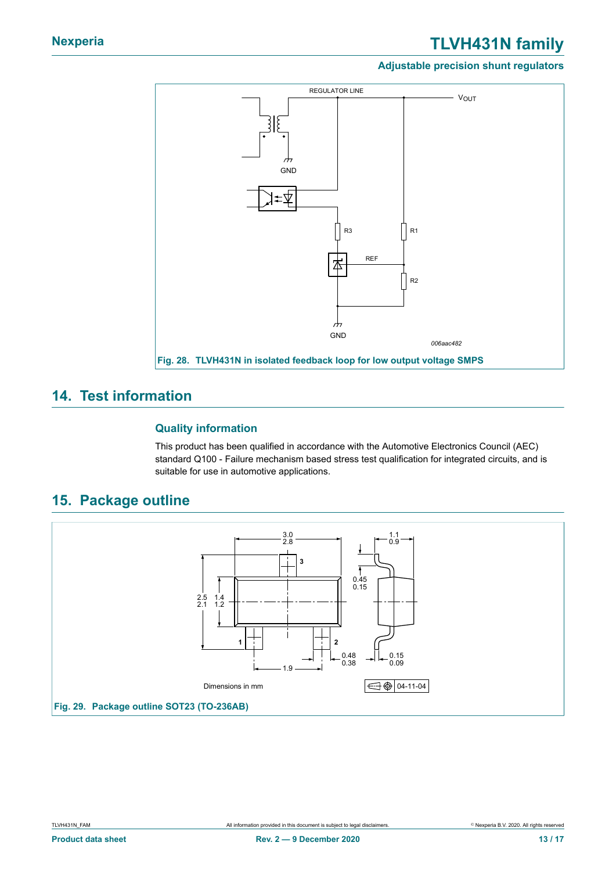#### **Adjustable precision shunt regulators**



### <span id="page-12-0"></span>**14. Test information**

### **Quality information**

This product has been qualified in accordance with the Automotive Electronics Council (AEC) standard Q100 - Failure mechanism based stress test qualification for integrated circuits, and is suitable for use in automotive applications.

### <span id="page-12-1"></span>**15. Package outline**

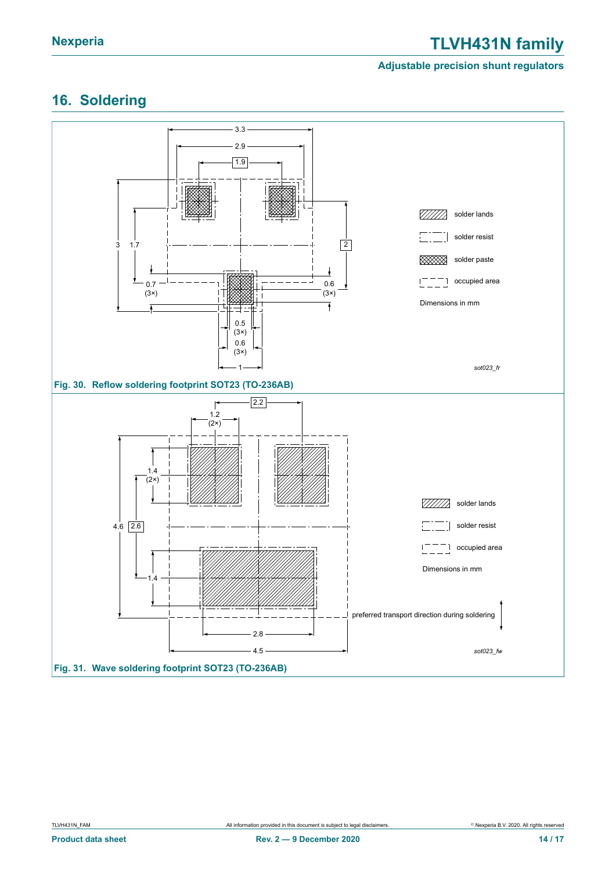### **Adjustable precision shunt regulators**

## <span id="page-13-0"></span>**16. Soldering**

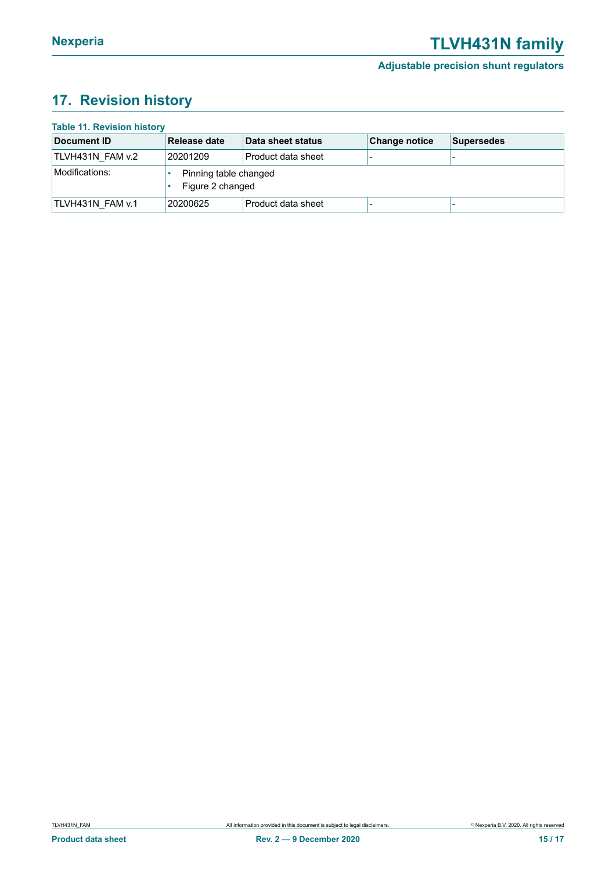## <span id="page-14-0"></span>**17. Revision history**

| <b>Table 11. Revision history</b> |                                           |                    |                      |                   |  |
|-----------------------------------|-------------------------------------------|--------------------|----------------------|-------------------|--|
| Document ID                       | Release date                              | Data sheet status  | <b>Change notice</b> | <b>Supersedes</b> |  |
| TLVH431N FAM v.2                  | 20201209                                  | Product data sheet |                      |                   |  |
| Modifications:                    | Pinning table changed<br>Figure 2 changed |                    |                      |                   |  |
| TLVH431N FAM v.1                  | 20200625                                  | Product data sheet |                      |                   |  |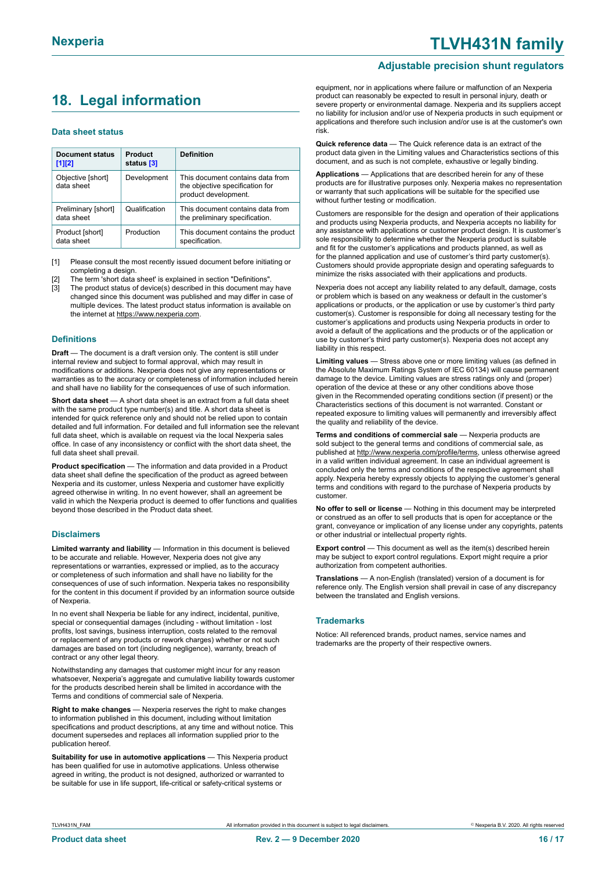### <span id="page-15-0"></span>**18. Legal information**

#### **Data sheet status**

| Document status<br>$[1]$ [2]      | Product<br>status [3] | <b>Definition</b>                                                                           |
|-----------------------------------|-----------------------|---------------------------------------------------------------------------------------------|
| Objective [short]<br>data sheet   | Development           | This document contains data from<br>the objective specification for<br>product development. |
| Preliminary [short]<br>data sheet | Qualification         | This document contains data from<br>the preliminary specification.                          |
| Product [short]<br>data sheet     | Production            | This document contains the product<br>specification.                                        |

[1] Please consult the most recently issued document before initiating or completing a design.

The term 'short data sheet' is explained in section "Definitions"

[3] The product status of device(s) described in this document may have changed since this document was published and may differ in case of multiple devices. The latest product status information is available on the internet at [https://www.nexperia.com.](https://www.nexperia.com)

#### **Definitions**

**Draft** — The document is a draft version only. The content is still under internal review and subject to formal approval, which may result in modifications or additions. Nexperia does not give any representations or warranties as to the accuracy or completeness of information included herein and shall have no liability for the consequences of use of such information.

**Short data sheet** — A short data sheet is an extract from a full data sheet with the same product type number(s) and title. A short data sheet is intended for quick reference only and should not be relied upon to contain detailed and full information. For detailed and full information see the relevant full data sheet, which is available on request via the local Nexperia sales office. In case of any inconsistency or conflict with the short data sheet, the full data sheet shall prevail.

**Product specification** — The information and data provided in a Product data sheet shall define the specification of the product as agreed between Nexperia and its customer, unless Nexperia and customer have explicitly agreed otherwise in writing. In no event however, shall an agreement be valid in which the Nexperia product is deemed to offer functions and qualities beyond those described in the Product data sheet.

#### **Disclaimers**

**Limited warranty and liability** — Information in this document is believed to be accurate and reliable. However, Nexperia does not give any representations or warranties, expressed or implied, as to the accuracy or completeness of such information and shall have no liability for the consequences of use of such information. Nexperia takes no responsibility for the content in this document if provided by an information source outside of Nexperia.

In no event shall Nexperia be liable for any indirect, incidental, punitive, special or consequential damages (including - without limitation - lost profits, lost savings, business interruption, costs related to the removal or replacement of any products or rework charges) whether or not such damages are based on tort (including negligence), warranty, breach of contract or any other legal theory.

Notwithstanding any damages that customer might incur for any reason whatsoever, Nexperia's aggregate and cumulative liability towards customer for the products described herein shall be limited in accordance with the Terms and conditions of commercial sale of Nexperia.

**Right to make changes** — Nexperia reserves the right to make changes to information published in this document, including without limitation specifications and product descriptions, at any time and without notice. This document supersedes and replaces all information supplied prior to the publication hereof

**Suitability for use in automotive applications** — This Nexperia product has been qualified for use in automotive applications. Unless otherwise agreed in writing, the product is not designed, authorized or warranted to be suitable for use in life support, life-critical or safety-critical systems or

#### **Adjustable precision shunt regulators**

equipment, nor in applications where failure or malfunction of an Nexperia product can reasonably be expected to result in personal injury, death or severe property or environmental damage. Nexperia and its suppliers accept no liability for inclusion and/or use of Nexperia products in such equipment or applications and therefore such inclusion and/or use is at the customer's own risk.

**Quick reference data** — The Quick reference data is an extract of the product data given in the Limiting values and Characteristics sections of this document, and as such is not complete, exhaustive or legally binding.

**Applications** — Applications that are described herein for any of these products are for illustrative purposes only. Nexperia makes no representation or warranty that such applications will be suitable for the specified use without further testing or modification.

Customers are responsible for the design and operation of their applications and products using Nexperia products, and Nexperia accepts no liability for any assistance with applications or customer product design. It is customer's sole responsibility to determine whether the Nexperia product is suitable and fit for the customer's applications and products planned, as well as for the planned application and use of customer's third party customer(s). Customers should provide appropriate design and operating safeguards to minimize the risks associated with their applications and products.

Nexperia does not accept any liability related to any default, damage, costs or problem which is based on any weakness or default in the customer's applications or products, or the application or use by customer's third party customer(s). Customer is responsible for doing all necessary testing for the customer's applications and products using Nexperia products in order to avoid a default of the applications and the products or of the application or use by customer's third party customer(s). Nexperia does not accept any liability in this respect.

**Limiting values** — Stress above one or more limiting values (as defined in the Absolute Maximum Ratings System of IEC 60134) will cause permanent damage to the device. Limiting values are stress ratings only and (proper) operation of the device at these or any other conditions above those given in the Recommended operating conditions section (if present) or the Characteristics sections of this document is not warranted. Constant or repeated exposure to limiting values will permanently and irreversibly affect the quality and reliability of the device.

**Terms and conditions of commercial sale** — Nexperia products are sold subject to the general terms and conditions of commercial sale, as published at [http://www.nexperia.com/profile/terms,](http://www.nexperia.com/profile/terms) unless otherwise agreed in a valid written individual agreement. In case an individual agreement is concluded only the terms and conditions of the respective agreement shall apply. Nexperia hereby expressly objects to applying the customer's general terms and conditions with regard to the purchase of Nexperia products by customer.

**No offer to sell or license** — Nothing in this document may be interpreted or construed as an offer to sell products that is open for acceptance or the grant, conveyance or implication of any license under any copyrights, patents or other industrial or intellectual property rights.

**Export control** — This document as well as the item(s) described herein may be subject to export control regulations. Export might require a prior authorization from competent authorities.

**Translations** — A non-English (translated) version of a document is for reference only. The English version shall prevail in case of any discrepancy between the translated and English versions.

#### **Trademarks**

Notice: All referenced brands, product names, service names and trademarks are the property of their respective owners.